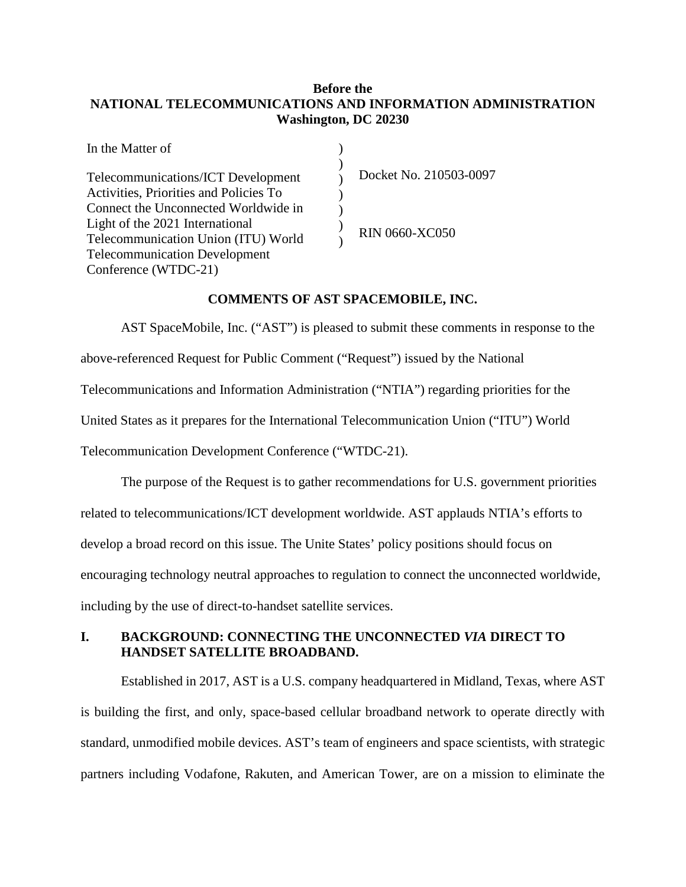### **Before the NATIONAL TELECOMMUNICATIONS AND INFORMATION ADMINISTRATION Washington, DC 20230**

| In the Matter of                       |                        |
|----------------------------------------|------------------------|
| Telecommunications/ICT Development     | Docket No. 210503-0097 |
| Activities, Priorities and Policies To |                        |
| Connect the Unconnected Worldwide in   |                        |
| Light of the 2021 International        | RIN 0660-XC050         |
| Telecommunication Union (ITU) World    |                        |
| <b>Telecommunication Development</b>   |                        |
| Conference (WTDC-21)                   |                        |

#### **COMMENTS OF AST SPACEMOBILE, INC.**

AST SpaceMobile, Inc. ("AST") is pleased to submit these comments in response to the above-referenced Request for Public Comment ("Request") issued by the National Telecommunications and Information Administration ("NTIA") regarding priorities for the United States as it prepares for the International Telecommunication Union ("ITU") World Telecommunication Development Conference ("WTDC-21).

The purpose of the Request is to gather recommendations for U.S. government priorities related to telecommunications/ICT development worldwide. AST applauds NTIA's efforts to develop a broad record on this issue. The Unite States' policy positions should focus on encouraging technology neutral approaches to regulation to connect the unconnected worldwide, including by the use of direct-to-handset satellite services.

# **I. BACKGROUND: CONNECTING THE UNCONNECTED** *VIA* **DIRECT TO HANDSET SATELLITE BROADBAND.**

Established in 2017, AST is a U.S. company headquartered in Midland, Texas, where AST is building the first, and only, space-based cellular broadband network to operate directly with standard, unmodified mobile devices. AST's team of engineers and space scientists, with strategic partners including Vodafone, Rakuten, and American Tower, are on a mission to eliminate the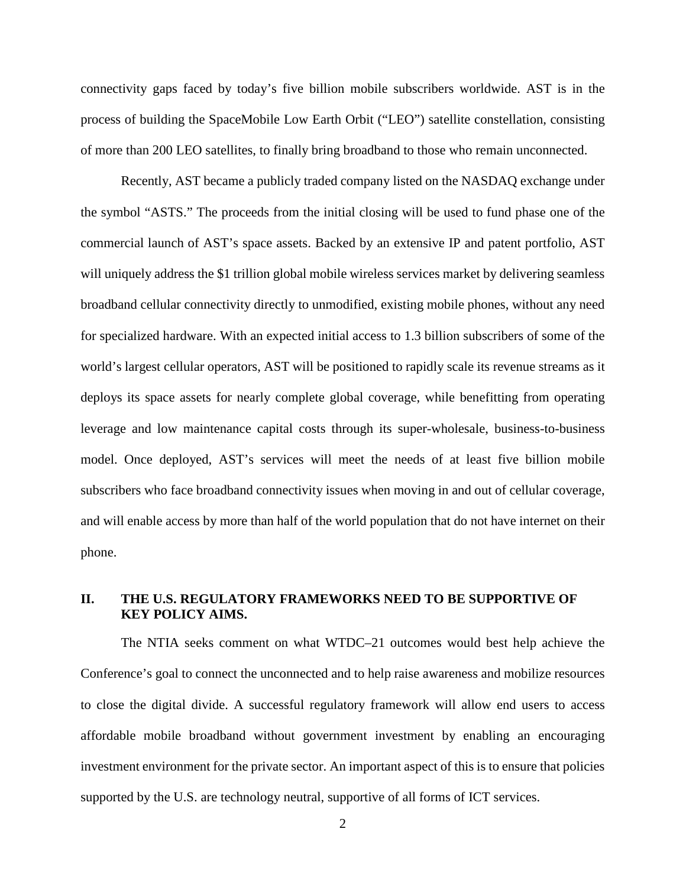connectivity gaps faced by today's five billion mobile subscribers worldwide. AST is in the process of building the SpaceMobile Low Earth Orbit ("LEO") satellite constellation, consisting of more than 200 LEO satellites, to finally bring broadband to those who remain unconnected.

Recently, AST became a publicly traded company listed on the NASDAQ exchange under the symbol "ASTS." The proceeds from the initial closing will be used to fund phase one of the commercial launch of AST's space assets. Backed by an extensive IP and patent portfolio, AST will uniquely address the \$1 trillion global mobile wireless services market by delivering seamless broadband cellular connectivity directly to unmodified, existing mobile phones, without any need for specialized hardware. With an expected initial access to 1.3 billion subscribers of some of the world's largest cellular operators, AST will be positioned to rapidly scale its revenue streams as it deploys its space assets for nearly complete global coverage, while benefitting from operating leverage and low maintenance capital costs through its super-wholesale, business-to-business model. Once deployed, AST's services will meet the needs of at least five billion mobile subscribers who face broadband connectivity issues when moving in and out of cellular coverage, and will enable access by more than half of the world population that do not have internet on their phone.

## **II. THE U.S. REGULATORY FRAMEWORKS NEED TO BE SUPPORTIVE OF KEY POLICY AIMS.**

The NTIA seeks comment on what WTDC–21 outcomes would best help achieve the Conference's goal to connect the unconnected and to help raise awareness and mobilize resources to close the digital divide. A successful regulatory framework will allow end users to access affordable mobile broadband without government investment by enabling an encouraging investment environment for the private sector. An important aspect of this is to ensure that policies supported by the U.S. are technology neutral, supportive of all forms of ICT services.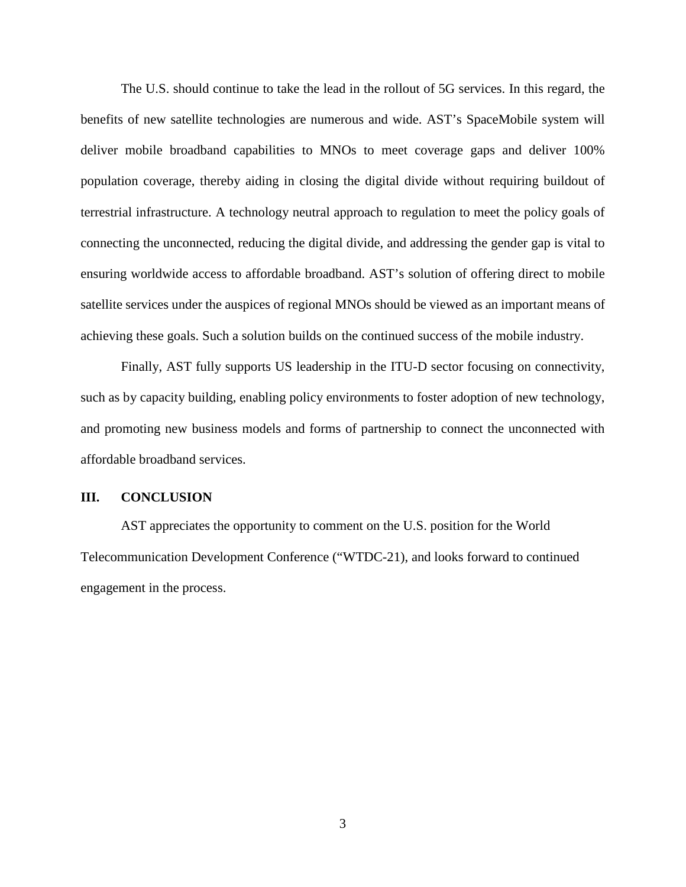The U.S. should continue to take the lead in the rollout of 5G services. In this regard, the benefits of new satellite technologies are numerous and wide. AST's SpaceMobile system will deliver mobile broadband capabilities to MNOs to meet coverage gaps and deliver 100% population coverage, thereby aiding in closing the digital divide without requiring buildout of terrestrial infrastructure. A technology neutral approach to regulation to meet the policy goals of connecting the unconnected, reducing the digital divide, and addressing the gender gap is vital to ensuring worldwide access to affordable broadband. AST's solution of offering direct to mobile satellite services under the auspices of regional MNOs should be viewed as an important means of achieving these goals. Such a solution builds on the continued success of the mobile industry.

Finally, AST fully supports US leadership in the ITU-D sector focusing on connectivity, such as by capacity building, enabling policy environments to foster adoption of new technology, and promoting new business models and forms of partnership to connect the unconnected with affordable broadband services.

#### **III. CONCLUSION**

AST appreciates the opportunity to comment on the U.S. position for the World Telecommunication Development Conference ("WTDC-21), and looks forward to continued engagement in the process.

3